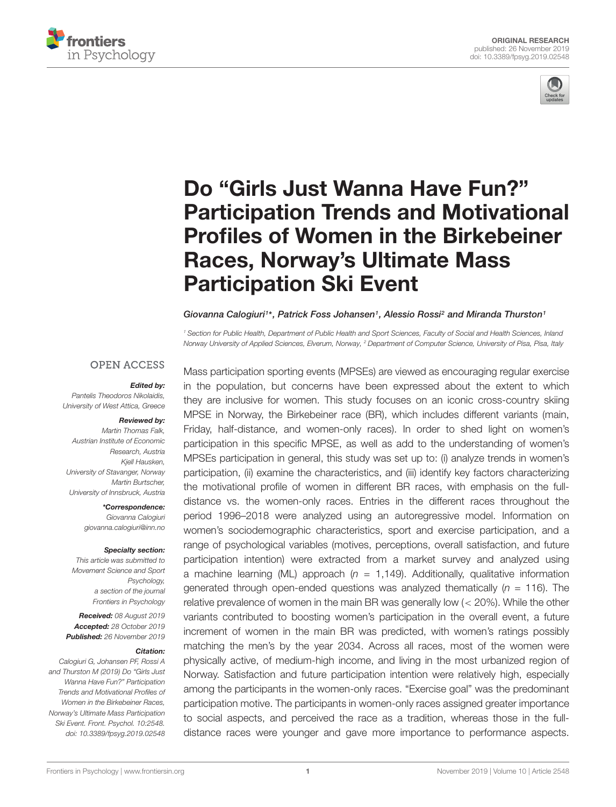



# Do "Girls Just Wanna Have Fun?" [Participation Trends and Motivational](https://www.frontiersin.org/articles/10.3389/fpsyg.2019.02548/full) Profiles of Women in the Birkebeiner Races, Norway's Ultimate Mass Participation Ski Event

#### [Giovanna Calogiuri](http://loop.frontiersin.org/people/464969/overview)<sup>1\*</sup>, [Patrick Foss Johansen](http://loop.frontiersin.org/people/693743/overview)<sup>1</sup>, [Alessio Rossi](http://loop.frontiersin.org/people/796676/overview)<sup>2</sup> and [Miranda Thurston](http://loop.frontiersin.org/people/641641/overview)<sup>1</sup>

<sup>1</sup> Section for Public Health, Department of Public Health and Sport Sciences, Faculty of Social and Health Sciences, Inland Norway University of Applied Sciences, Elverum, Norway, <sup>2</sup> Department of Computer Science, University of Pisa, Pisa, Italy

### **OPEN ACCESS**

#### Edited by:

Pantelis Theodoros Nikolaidis, University of West Attica, Greece

#### Reviewed by:

Martin Thomas Falk, Austrian Institute of Economic Research, Austria Kjell Hausken, University of Stavanger, Norway Martin Burtscher, University of Innsbruck, Austria

> \*Correspondence: Giovanna Calogiuri giovanna.calogiuri@inn.no

#### Specialty section:

This article was submitted to Movement Science and Sport Psychology, a section of the journal Frontiers in Psychology

Received: 08 August 2019 Accepted: 28 October 2019 Published: 26 November 2019

#### Citation:

Calogiuri G, Johansen PF, Rossi A and Thurston M (2019) Do "Girls Just Wanna Have Fun?" Participation Trends and Motivational Profiles of Women in the Birkebeiner Races, Norway's Ultimate Mass Participation Ski Event. Front. Psychol. 10:2548. doi: [10.3389/fpsyg.2019.02548](https://doi.org/10.3389/fpsyg.2019.02548) Mass participation sporting events (MPSEs) are viewed as encouraging regular exercise in the population, but concerns have been expressed about the extent to which they are inclusive for women. This study focuses on an iconic cross-country skiing MPSE in Norway, the Birkebeiner race (BR), which includes different variants (main, Friday, half-distance, and women-only races). In order to shed light on women's participation in this specific MPSE, as well as add to the understanding of women's MPSEs participation in general, this study was set up to: (i) analyze trends in women's participation, (ii) examine the characteristics, and (iii) identify key factors characterizing the motivational profile of women in different BR races, with emphasis on the fulldistance vs. the women-only races. Entries in the different races throughout the period 1996–2018 were analyzed using an autoregressive model. Information on women's sociodemographic characteristics, sport and exercise participation, and a range of psychological variables (motives, perceptions, overall satisfaction, and future participation intention) were extracted from a market survey and analyzed using a machine learning (ML) approach ( $n = 1,149$ ). Additionally, qualitative information generated through open-ended questions was analyzed thematically  $(n = 116)$ . The relative prevalence of women in the main BR was generally low (< 20%). While the other variants contributed to boosting women's participation in the overall event, a future increment of women in the main BR was predicted, with women's ratings possibly matching the men's by the year 2034. Across all races, most of the women were physically active, of medium-high income, and living in the most urbanized region of Norway. Satisfaction and future participation intention were relatively high, especially among the participants in the women-only races. "Exercise goal" was the predominant participation motive. The participants in women-only races assigned greater importance to social aspects, and perceived the race as a tradition, whereas those in the fulldistance races were younger and gave more importance to performance aspects.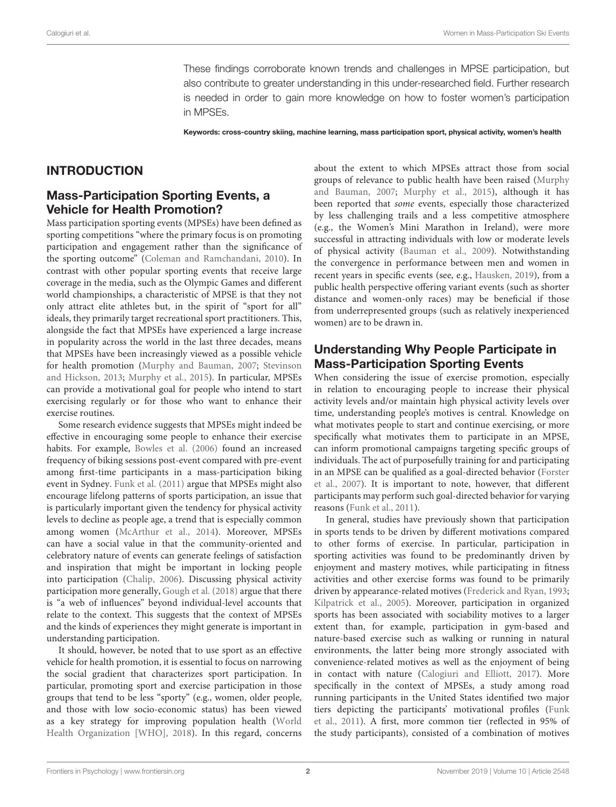These findings corroborate known trends and challenges in MPSE participation, but also contribute to greater understanding in this under-researched field. Further research is needed in order to gain more knowledge on how to foster women's participation in MPSEs.

Keywords: cross-country skiing, machine learning, mass participation sport, physical activity, women's health

## INTRODUCTION

### Mass-Participation Sporting Events, a Vehicle for Health Promotion?

Mass participation sporting events (MPSEs) have been defined as sporting competitions "where the primary focus is on promoting participation and engagement rather than the significance of the sporting outcome" [\(Coleman and Ramchandani,](#page-13-0) [2010\)](#page-13-0). In contrast with other popular sporting events that receive large coverage in the media, such as the Olympic Games and different world championships, a characteristic of MPSE is that they not only attract elite athletes but, in the spirit of "sport for all" ideals, they primarily target recreational sport practitioners. This, alongside the fact that MPSEs have experienced a large increase in popularity across the world in the last three decades, means that MPSEs have been increasingly viewed as a possible vehicle for health promotion [\(Murphy and Bauman,](#page-14-0) [2007;](#page-14-0) [Stevinson](#page-14-1) [and Hickson,](#page-14-1) [2013;](#page-14-1) [Murphy et al.,](#page-14-2) [2015\)](#page-14-2). In particular, MPSEs can provide a motivational goal for people who intend to start exercising regularly or for those who want to enhance their exercise routines.

Some research evidence suggests that MPSEs might indeed be effective in encouraging some people to enhance their exercise habits. For example, [Bowles et al.](#page-13-1) [\(2006\)](#page-13-1) found an increased frequency of biking sessions post-event compared with pre-event among first-time participants in a mass-participation biking event in Sydney. [Funk et al.](#page-14-3) [\(2011\)](#page-14-3) argue that MPSEs might also encourage lifelong patterns of sports participation, an issue that is particularly important given the tendency for physical activity levels to decline as people age, a trend that is especially common among women [\(McArthur et al.,](#page-14-4) [2014\)](#page-14-4). Moreover, MPSEs can have a social value in that the community-oriented and celebratory nature of events can generate feelings of satisfaction and inspiration that might be important in locking people into participation [\(Chalip,](#page-13-2) [2006\)](#page-13-2). Discussing physical activity participation more generally, [Gough et al.](#page-14-5) [\(2018\)](#page-14-5) argue that there is "a web of influences" beyond individual-level accounts that relate to the context. This suggests that the context of MPSEs and the kinds of experiences they might generate is important in understanding participation.

It should, however, be noted that to use sport as an effective vehicle for health promotion, it is essential to focus on narrowing the social gradient that characterizes sport participation. In particular, promoting sport and exercise participation in those groups that tend to be less "sporty" (e.g., women, older people, and those with low socio-economic status) has been viewed as a key strategy for improving population health [\(World](#page-14-6) [Health Organization \[WHO\],](#page-14-6) [2018\)](#page-14-6). In this regard, concerns about the extent to which MPSEs attract those from social groups of relevance to public health have been raised [\(Murphy](#page-14-0) [and Bauman,](#page-14-0) [2007;](#page-14-0) [Murphy et al.,](#page-14-2) [2015\)](#page-14-2), although it has been reported that some events, especially those characterized by less challenging trails and a less competitive atmosphere (e.g., the Women's Mini Marathon in Ireland), were more successful in attracting individuals with low or moderate levels of physical activity [\(Bauman et al.,](#page-13-3) [2009\)](#page-13-3). Notwithstanding the convergence in performance between men and women in recent years in specific events (see, e.g., [Hausken,](#page-14-7) [2019\)](#page-14-7), from a public health perspective offering variant events (such as shorter distance and women-only races) may be beneficial if those from underrepresented groups (such as relatively inexperienced women) are to be drawn in.

## Understanding Why People Participate in Mass-Participation Sporting Events

When considering the issue of exercise promotion, especially in relation to encouraging people to increase their physical activity levels and/or maintain high physical activity levels over time, understanding people's motives is central. Knowledge on what motivates people to start and continue exercising, or more specifically what motivates them to participate in an MPSE, can inform promotional campaigns targeting specific groups of individuals. The act of purposefully training for and participating in an MPSE can be qualified as a goal-directed behavior [\(Forster](#page-14-8) [et al.,](#page-14-8) [2007\)](#page-14-8). It is important to note, however, that different participants may perform such goal-directed behavior for varying reasons [\(Funk et al.,](#page-14-3) [2011\)](#page-14-3).

In general, studies have previously shown that participation in sports tends to be driven by different motivations compared to other forms of exercise. In particular, participation in sporting activities was found to be predominantly driven by enjoyment and mastery motives, while participating in fitness activities and other exercise forms was found to be primarily driven by appearance-related motives [\(Frederick and Ryan,](#page-14-9) [1993;](#page-14-9) [Kilpatrick et al.,](#page-14-10) [2005\)](#page-14-10). Moreover, participation in organized sports has been associated with sociability motives to a larger extent than, for example, participation in gym-based and nature-based exercise such as walking or running in natural environments, the latter being more strongly associated with convenience-related motives as well as the enjoyment of being in contact with nature [\(Calogiuri and Elliott,](#page-13-4) [2017\)](#page-13-4). More specifically in the context of MPSEs, a study among road running participants in the United States identified two major tiers depicting the participants' motivational profiles [\(Funk](#page-14-3) [et al.,](#page-14-3) [2011\)](#page-14-3). A first, more common tier (reflected in 95% of the study participants), consisted of a combination of motives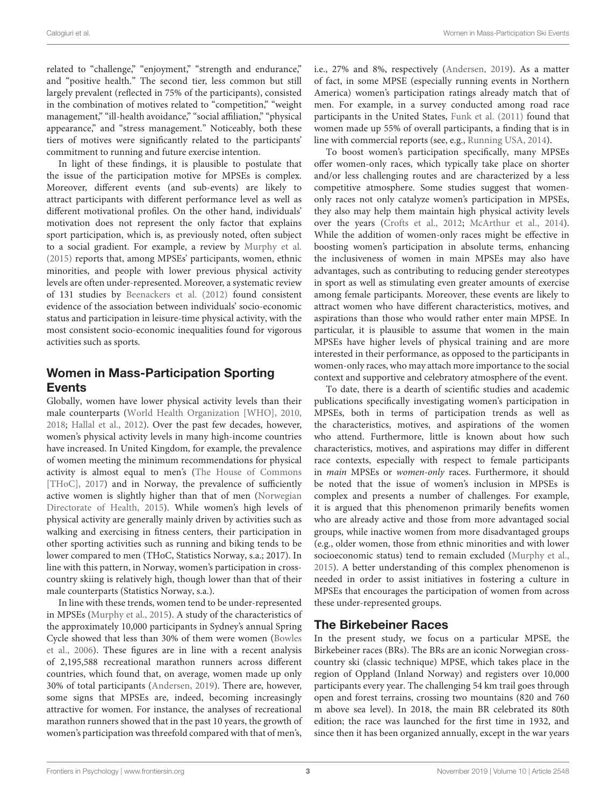related to "challenge," "enjoyment," "strength and endurance," and "positive health." The second tier, less common but still largely prevalent (reflected in 75% of the participants), consisted in the combination of motives related to "competition," "weight management," "ill-health avoidance," "social affiliation," "physical appearance," and "stress management." Noticeably, both these tiers of motives were significantly related to the participants' commitment to running and future exercise intention.

In light of these findings, it is plausible to postulate that the issue of the participation motive for MPSEs is complex. Moreover, different events (and sub-events) are likely to attract participants with different performance level as well as different motivational profiles. On the other hand, individuals' motivation does not represent the only factor that explains sport participation, which is, as previously noted, often subject to a social gradient. For example, a review by [Murphy et al.](#page-14-2) [\(2015\)](#page-14-2) reports that, among MPSEs' participants, women, ethnic minorities, and people with lower previous physical activity levels are often under-represented. Moreover, a systematic review of 131 studies by [Beenackers et al.](#page-13-5) [\(2012\)](#page-13-5) found consistent evidence of the association between individuals' socio-economic status and participation in leisure-time physical activity, with the most consistent socio-economic inequalities found for vigorous activities such as sports.

# Women in Mass-Participation Sporting Events

Globally, women have lower physical activity levels than their male counterparts [\(World Health Organization \[WHO\],](#page-14-11) [2010,](#page-14-11) [2018;](#page-14-6) [Hallal et al.,](#page-14-12) [2012\)](#page-14-12). Over the past few decades, however, women's physical activity levels in many high-income countries have increased. In United Kingdom, for example, the prevalence of women meeting the minimum recommendations for physical activity is almost equal to men's [\(The House of Commons](#page-14-13) [\[THoC\],](#page-14-13) [2017\)](#page-14-13) and in Norway, the prevalence of sufficiently active women is slightly higher than that of men [\(Norwegian](#page-14-14) [Directorate of Health,](#page-14-14) [2015\)](#page-14-14). While women's high levels of physical activity are generally mainly driven by activities such as walking and exercising in fitness centers, their participation in other sporting activities such as running and biking tends to be lower compared to men (THoC, Statistics Norway, s.a.; 2017). In line with this pattern, in Norway, women's participation in crosscountry skiing is relatively high, though lower than that of their male counterparts (Statistics Norway, s.a.).

In line with these trends, women tend to be under-represented in MPSEs [\(Murphy et al.,](#page-14-2) [2015\)](#page-14-2). A study of the characteristics of the approximately 10,000 participants in Sydney's annual Spring Cycle showed that less than 30% of them were women [\(Bowles](#page-13-1) [et al.,](#page-13-1) [2006\)](#page-13-1). These figures are in line with a recent analysis of 2,195,588 recreational marathon runners across different countries, which found that, on average, women made up only 30% of total participants [\(Andersen,](#page-13-6) [2019\)](#page-13-6). There are, however, some signs that MPSEs are, indeed, becoming increasingly attractive for women. For instance, the analyses of recreational marathon runners showed that in the past 10 years, the growth of women's participation was threefold compared with that of men's,

i.e., 27% and 8%, respectively [\(Andersen,](#page-13-6) [2019\)](#page-13-6). As a matter of fact, in some MPSE (especially running events in Northern America) women's participation ratings already match that of men. For example, in a survey conducted among road race participants in the United States, [Funk et al.](#page-14-3) [\(2011\)](#page-14-3) found that women made up 55% of overall participants, a finding that is in line with commercial reports (see, e.g., [Running USA,](#page-14-15) [2014\)](#page-14-15).

To boost women's participation specifically, many MPSEs offer women-only races, which typically take place on shorter and/or less challenging routes and are characterized by a less competitive atmosphere. Some studies suggest that womenonly races not only catalyze women's participation in MPSEs, they also may help them maintain high physical activity levels over the years [\(Crofts et al.,](#page-13-7) [2012;](#page-13-7) [McArthur et al.,](#page-14-4) [2014\)](#page-14-4). While the addition of women-only races might be effective in boosting women's participation in absolute terms, enhancing the inclusiveness of women in main MPSEs may also have advantages, such as contributing to reducing gender stereotypes in sport as well as stimulating even greater amounts of exercise among female participants. Moreover, these events are likely to attract women who have different characteristics, motives, and aspirations than those who would rather enter main MPSE. In particular, it is plausible to assume that women in the main MPSEs have higher levels of physical training and are more interested in their performance, as opposed to the participants in women-only races, who may attach more importance to the social context and supportive and celebratory atmosphere of the event.

To date, there is a dearth of scientific studies and academic publications specifically investigating women's participation in MPSEs, both in terms of participation trends as well as the characteristics, motives, and aspirations of the women who attend. Furthermore, little is known about how such characteristics, motives, and aspirations may differ in different race contexts, especially with respect to female participants in main MPSEs or women-only races. Furthermore, it should be noted that the issue of women's inclusion in MPSEs is complex and presents a number of challenges. For example, it is argued that this phenomenon primarily benefits women who are already active and those from more advantaged social groups, while inactive women from more disadvantaged groups (e.g., older women, those from ethnic minorities and with lower socioeconomic status) tend to remain excluded [\(Murphy et al.,](#page-14-2) [2015\)](#page-14-2). A better understanding of this complex phenomenon is needed in order to assist initiatives in fostering a culture in MPSEs that encourages the participation of women from across these under-represented groups.

## The Birkebeiner Races

In the present study, we focus on a particular MPSE, the Birkebeiner races (BRs). The BRs are an iconic Norwegian crosscountry ski (classic technique) MPSE, which takes place in the region of Oppland (Inland Norway) and registers over 10,000 participants every year. The challenging 54 km trail goes through open and forest terrains, crossing two mountains (820 and 760 m above sea level). In 2018, the main BR celebrated its 80th edition; the race was launched for the first time in 1932, and since then it has been organized annually, except in the war years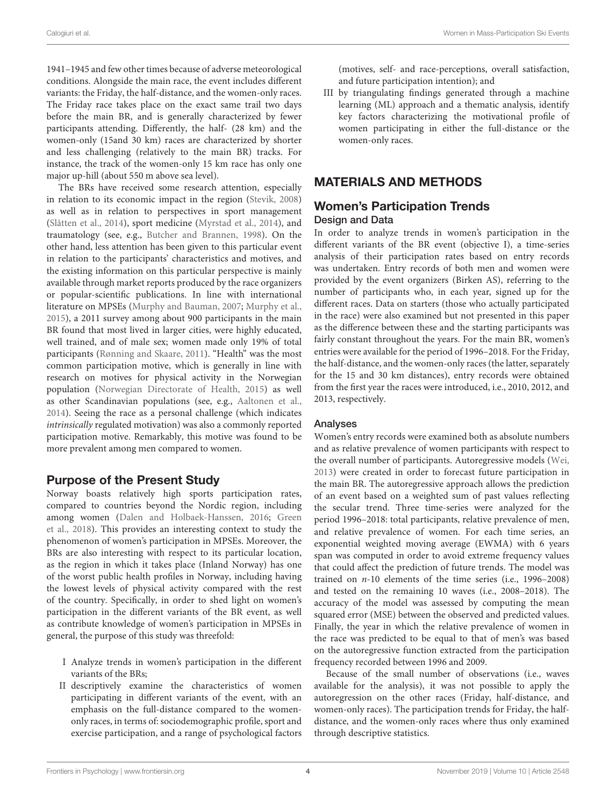1941–1945 and few other times because of adverse meteorological conditions. Alongside the main race, the event includes different variants: the Friday, the half-distance, and the women-only races. The Friday race takes place on the exact same trail two days before the main BR, and is generally characterized by fewer participants attending. Differently, the half- (28 km) and the women-only (15and 30 km) races are characterized by shorter and less challenging (relatively to the main BR) tracks. For instance, the track of the women-only 15 km race has only one major up-hill (about 550 m above sea level).

The BRs have received some research attention, especially in relation to its economic impact in the region [\(Stevik,](#page-14-16) [2008\)](#page-14-16) as well as in relation to perspectives in sport management [\(Slåtten et al.,](#page-14-17) [2014\)](#page-14-17), sport medicine [\(Myrstad et al.,](#page-14-18) [2014\)](#page-14-18), and traumatology (see, e.g., [Butcher and Brannen,](#page-13-8) [1998\)](#page-13-8). On the other hand, less attention has been given to this particular event in relation to the participants' characteristics and motives, and the existing information on this particular perspective is mainly available through market reports produced by the race organizers or popular-scientific publications. In line with international literature on MPSEs [\(Murphy and Bauman,](#page-14-0) [2007;](#page-14-0) [Murphy et al.,](#page-14-2) [2015\)](#page-14-2), a 2011 survey among about 900 participants in the main BR found that most lived in larger cities, were highly educated, well trained, and of male sex; women made only 19% of total participants [\(Rønning and Skaare,](#page-14-19) [2011\)](#page-14-19). "Health" was the most common participation motive, which is generally in line with research on motives for physical activity in the Norwegian population [\(Norwegian Directorate of Health,](#page-14-14) [2015\)](#page-14-14) as well as other Scandinavian populations (see, e.g., [Aaltonen et al.,](#page-13-9) [2014\)](#page-13-9). Seeing the race as a personal challenge (which indicates intrinsically regulated motivation) was also a commonly reported participation motive. Remarkably, this motive was found to be more prevalent among men compared to women.

## Purpose of the Present Study

Norway boasts relatively high sports participation rates, compared to countries beyond the Nordic region, including among women [\(Dalen and Holbaek-Hanssen,](#page-13-10) [2016;](#page-13-10) [Green](#page-14-20) [et al.,](#page-14-20) [2018\)](#page-14-20). This provides an interesting context to study the phenomenon of women's participation in MPSEs. Moreover, the BRs are also interesting with respect to its particular location, as the region in which it takes place (Inland Norway) has one of the worst public health profiles in Norway, including having the lowest levels of physical activity compared with the rest of the country. Specifically, in order to shed light on women's participation in the different variants of the BR event, as well as contribute knowledge of women's participation in MPSEs in general, the purpose of this study was threefold:

- I Analyze trends in women's participation in the different variants of the BRs;
- II descriptively examine the characteristics of women participating in different variants of the event, with an emphasis on the full-distance compared to the womenonly races, in terms of: sociodemographic profile, sport and exercise participation, and a range of psychological factors

(motives, self- and race-perceptions, overall satisfaction, and future participation intention); and

III by triangulating findings generated through a machine learning (ML) approach and a thematic analysis, identify key factors characterizing the motivational profile of women participating in either the full-distance or the women-only races.

# MATERIALS AND METHODS

# Women's Participation Trends Design and Data

In order to analyze trends in women's participation in the different variants of the BR event (objective I), a time-series analysis of their participation rates based on entry records was undertaken. Entry records of both men and women were provided by the event organizers (Birken AS), referring to the number of participants who, in each year, signed up for the different races. Data on starters (those who actually participated in the race) were also examined but not presented in this paper as the difference between these and the starting participants was fairly constant throughout the years. For the main BR, women's entries were available for the period of 1996–2018. For the Friday, the half-distance, and the women-only races (the latter, separately for the 15 and 30 km distances), entry records were obtained from the first year the races were introduced, i.e., 2010, 2012, and 2013, respectively.

### Analyses

Women's entry records were examined both as absolute numbers and as relative prevalence of women participants with respect to the overall number of participants. Autoregressive models [\(Wei,](#page-14-21) [2013\)](#page-14-21) were created in order to forecast future participation in the main BR. The autoregressive approach allows the prediction of an event based on a weighted sum of past values reflecting the secular trend. Three time-series were analyzed for the period 1996–2018: total participants, relative prevalence of men, and relative prevalence of women. For each time series, an exponential weighted moving average (EWMA) with 6 years span was computed in order to avoid extreme frequency values that could affect the prediction of future trends. The model was trained on n-10 elements of the time series (i.e., 1996–2008) and tested on the remaining 10 waves (i.e., 2008–2018). The accuracy of the model was assessed by computing the mean squared error (MSE) between the observed and predicted values. Finally, the year in which the relative prevalence of women in the race was predicted to be equal to that of men's was based on the autoregressive function extracted from the participation frequency recorded between 1996 and 2009.

Because of the small number of observations (i.e., waves available for the analysis), it was not possible to apply the autoregression on the other races (Friday, half-distance, and women-only races). The participation trends for Friday, the halfdistance, and the women-only races where thus only examined through descriptive statistics.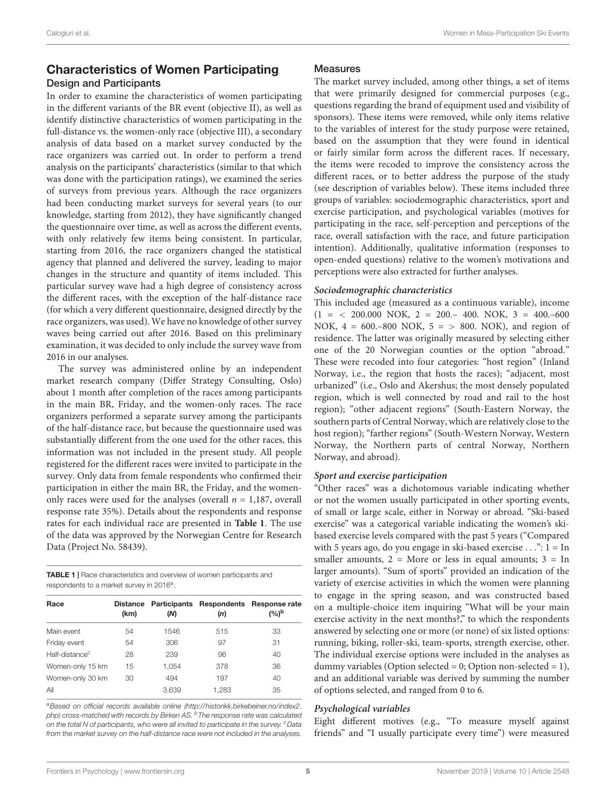### Characteristics of Women Participating Design and Participants

In order to examine the characteristics of women participating in the different variants of the BR event (objective II), as well as identify distinctive characteristics of women participating in the full-distance vs. the women-only race (objective III), a secondary analysis of data based on a market survey conducted by the race organizers was carried out. In order to perform a trend analysis on the participants' characteristics (similar to that which was done with the participation ratings), we examined the series of surveys from previous years. Although the race organizers had been conducting market surveys for several years (to our knowledge, starting from 2012), they have significantly changed the questionnaire over time, as well as across the different events, with only relatively few items being consistent. In particular, starting from 2016, the race organizers changed the statistical agency that planned and delivered the survey, leading to major changes in the structure and quantity of items included. This particular survey wave had a high degree of consistency across the different races, with the exception of the half-distance race (for which a very different questionnaire, designed directly by the race organizers, was used). We have no knowledge of other survey waves being carried out after 2016. Based on this preliminary examination, it was decided to only include the survey wave from 2016 in our analyses.

The survey was administered online by an independent market research company (Differ Strategy Consulting, Oslo) about 1 month after completion of the races among participants in the main BR, Friday, and the women-only races. The race organizers performed a separate survey among the participants of the half-distance race, but because the questionnaire used was substantially different from the one used for the other races, this information was not included in the present study. All people registered for the different races were invited to participate in the survey. Only data from female respondents who confirmed their participation in either the main BR, the Friday, and the womenonly races were used for the analyses (overall  $n = 1,187$ , overall response rate 35%). Details about the respondents and response rates for each individual race are presented in **[Table 1](#page-4-0)**. The use of the data was approved by the Norwegian Centre for Research Data (Project No. 58439).

<span id="page-4-0"></span>TABLE 1 | Race characteristics and overview of women participants and respondents to a market survey in 2016<sup>a</sup>.

| Race                       | (km) | (N)   | (n)   | Distance Participants Respondents Response rate<br>(%) <sup>b</sup> |  |
|----------------------------|------|-------|-------|---------------------------------------------------------------------|--|
| Main event                 | 54   | 1546  | 515   | 33                                                                  |  |
| Friday event               | 54   | 306   | 97    | 31                                                                  |  |
| Half-distance <sup>c</sup> | 28   | 239   | 96    | 40                                                                  |  |
| Women-only 15 km           | 15   | 1.054 | 378   | 36                                                                  |  |
| Women-only 30 km           | 30   | 494   | 197   | 40                                                                  |  |
| All                        |      | 3,639 | 1,283 | 35                                                                  |  |

aBased on official records available online [\(http://historikk.birkebeiner.no/index2.](http://historikk.birkebeiner.no/index2.php) [php\)](http://historikk.birkebeiner.no/index2.php) cross-matched with records by Birken AS. <sup>b</sup>The response rate was calculated on the total N of participants, who were all invited to participate in the survey.  $c$ Data from the market survey on the half-distance race were not included in the analyses.

#### Measures

The market survey included, among other things, a set of items that were primarily designed for commercial purposes (e.g., questions regarding the brand of equipment used and visibility of sponsors). These items were removed, while only items relative to the variables of interest for the study purpose were retained, based on the assumption that they were found in identical or fairly similar form across the different races. If necessary, the items were recoded to improve the consistency across the different races, or to better address the purpose of the study (see description of variables below). These items included three groups of variables: sociodemographic characteristics, sport and exercise participation, and psychological variables (motives for participating in the race, self-perception and perceptions of the race, overall satisfaction with the race, and future participation intention). Additionally, qualitative information (responses to open-ended questions) relative to the women's motivations and perceptions were also extracted for further analyses.

#### **Sociodemographic characteristics**

This included age (measured as a continuous variable), income  $(1 = \langle 200.000 \text{ NOK}, 2 = 200 - 400. \text{ NOK}, 3 = 400 - 600 \rangle$ NOK, 4 = 600.–800 NOK, 5 = > 800. NOK), and region of residence. The latter was originally measured by selecting either one of the 20 Norwegian counties or the option "abroad." These were recoded into four categories: "host region" (Inland Norway, i.e., the region that hosts the races); "adjacent, most urbanized" (i.e., Oslo and Akershus; the most densely populated region, which is well connected by road and rail to the host region); "other adjacent regions" (South-Eastern Norway, the southern parts of Central Norway, which are relatively close to the host region); "farther regions" (South-Western Norway, Western Norway, the Northern parts of central Norway, Northern Norway, and abroad).

#### **Sport and exercise participation**

"Other races" was a dichotomous variable indicating whether or not the women usually participated in other sporting events, of small or large scale, either in Norway or abroad. "Ski-based exercise" was a categorical variable indicating the women's skibased exercise levels compared with the past 5 years ("Compared with 5 years ago, do you engage in ski-based exercise  $\dots$ ": 1 = In smaller amounts,  $2 = \text{More or less in equal amounts; } 3 = \text{In}$ larger amounts). "Sum of sports" provided an indication of the variety of exercise activities in which the women were planning to engage in the spring season, and was constructed based on a multiple-choice item inquiring "What will be your main exercise activity in the next months?," to which the respondents answered by selecting one or more (or none) of six listed options: running, biking, roller-ski, team-sports, strength exercise, other. The individual exercise options were included in the analyses as dummy variables (Option selected = 0; Option non-selected = 1), and an additional variable was derived by summing the number of options selected, and ranged from 0 to 6.

#### **Psychological variables**

Eight different motives (e.g., "To measure myself against friends" and "I usually participate every time") were measured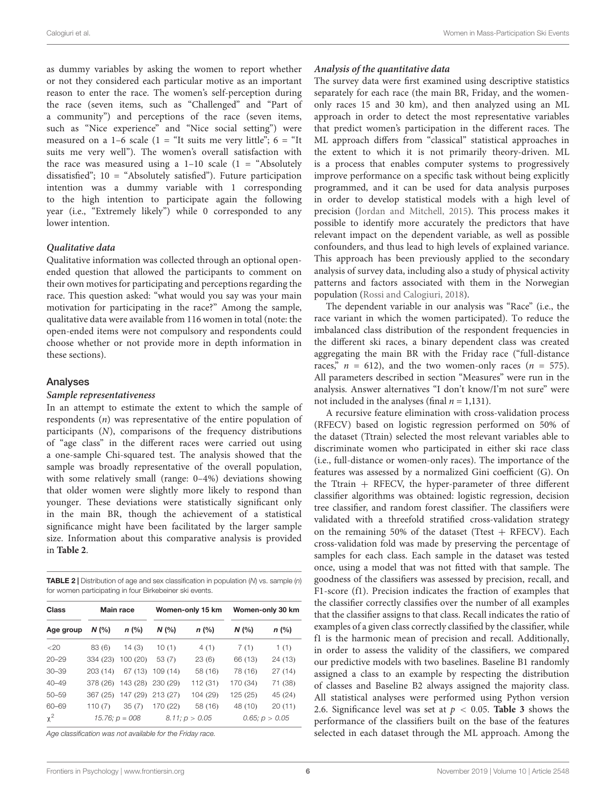as dummy variables by asking the women to report whether or not they considered each particular motive as an important reason to enter the race. The women's self-perception during the race (seven items, such as "Challenged" and "Part of a community") and perceptions of the race (seven items, such as "Nice experience" and "Nice social setting") were measured on a 1–6 scale (1 = "It suits me very little";  $6 =$  "It suits me very well"). The women's overall satisfaction with the race was measured using a  $1-10$  scale  $(1 -$ "Absolutely dissatisfied"; 10 = "Absolutely satisfied"). Future participation intention was a dummy variable with 1 corresponding to the high intention to participate again the following year (i.e., "Extremely likely") while 0 corresponded to any lower intention.

#### **Qualitative data**

Qualitative information was collected through an optional openended question that allowed the participants to comment on their own motives for participating and perceptions regarding the race. This question asked: "what would you say was your main motivation for participating in the race?" Among the sample, qualitative data were available from 116 women in total (note: the open-ended items were not compulsory and respondents could choose whether or not provide more in depth information in these sections).

#### Analyses

#### **Sample representativeness**

In an attempt to estimate the extent to which the sample of respondents (n) was representative of the entire population of participants (N), comparisons of the frequency distributions of "age class" in the different races were carried out using a one-sample Chi-squared test. The analysis showed that the sample was broadly representative of the overall population, with some relatively small (range: 0–4%) deviations showing that older women were slightly more likely to respond than younger. These deviations were statistically significant only in the main BR, though the achievement of a statistical significance might have been facilitated by the larger sample size. Information about this comparative analysis is provided in **[Table 2](#page-5-0)**.

<span id="page-5-0"></span>**TABLE 2** | Distribution of age and sex classification in population  $(N)$  vs. sample  $(n)$ for women participating in four Birkebeiner ski events.

| Class     | Main race |                            | Women-only 15 km |                     | Women-only 30 km |                     |  |
|-----------|-----------|----------------------------|------------------|---------------------|------------------|---------------------|--|
| Age group | $N$ (%)   | $n$ (%)                    | N(%              | n (%)               | N(%              | $n$ (%)             |  |
| <20       | 83(6)     | 14(3)                      | 10(1)            | 4(1)                | 7(1)             | 1(1)                |  |
| $20 - 29$ | 334 (23)  | 100(20)                    | 53(7)            | 23(6)               | 66 (13)          | 24 (13)             |  |
| $30 - 39$ | 203(14)   |                            | 67 (13) 109 (14) | 58 (16)             | 78 (16)          | 27(14)              |  |
| $40 - 49$ |           | 378 (26) 143 (28) 230 (29) |                  | 112 (31)            | 170 (34)         | 71 (38)             |  |
| $50 - 59$ | 367 (25)  | 147 (29)                   | 213(27)          | 104 (29)            | 125 (25)         | 45 (24)             |  |
| 60-69     | 110(7)    | 35(7)                      | 170 (22)         | 58 (16)             | 48 (10)          | 20(11)              |  |
| $x^2$     |           | $15.76$ ; $p = 008$        |                  | $8.11$ ; $p > 0.05$ |                  | $0.65$ ; $p > 0.05$ |  |

Age classification was not available for the Friday race.

#### **Analysis of the quantitative data**

The survey data were first examined using descriptive statistics separately for each race (the main BR, Friday, and the womenonly races 15 and 30 km), and then analyzed using an ML approach in order to detect the most representative variables that predict women's participation in the different races. The ML approach differs from "classical" statistical approaches in the extent to which it is not primarily theory-driven. ML is a process that enables computer systems to progressively improve performance on a specific task without being explicitly programmed, and it can be used for data analysis purposes in order to develop statistical models with a high level of precision [\(Jordan and Mitchell,](#page-14-22) [2015\)](#page-14-22). This process makes it possible to identify more accurately the predictors that have relevant impact on the dependent variable, as well as possible confounders, and thus lead to high levels of explained variance. This approach has been previously applied to the secondary analysis of survey data, including also a study of physical activity patterns and factors associated with them in the Norwegian population [\(Rossi and Calogiuri,](#page-14-23) [2018\)](#page-14-23).

The dependent variable in our analysis was "Race" (i.e., the race variant in which the women participated). To reduce the imbalanced class distribution of the respondent frequencies in the different ski races, a binary dependent class was created aggregating the main BR with the Friday race ("full-distance races,"  $n = 612$ ), and the two women-only races ( $n = 575$ ). All parameters described in section "Measures" were run in the analysis. Answer alternatives "I don't know/I'm not sure" were not included in the analyses (final  $n = 1,131$ ).

A recursive feature elimination with cross-validation process (RFECV) based on logistic regression performed on 50% of the dataset (Ttrain) selected the most relevant variables able to discriminate women who participated in either ski race class (i.e., full-distance or women-only races). The importance of the features was assessed by a normalized Gini coefficient (G). On the Ttrain  $+$  RFECV, the hyper-parameter of three different classifier algorithms was obtained: logistic regression, decision tree classifier, and random forest classifier. The classifiers were validated with a threefold stratified cross-validation strategy on the remaining 50% of the dataset (Ttest  $+$  RFECV). Each cross-validation fold was made by preserving the percentage of samples for each class. Each sample in the dataset was tested once, using a model that was not fitted with that sample. The goodness of the classifiers was assessed by precision, recall, and F1-score (f1). Precision indicates the fraction of examples that the classifier correctly classifies over the number of all examples that the classifier assigns to that class. Recall indicates the ratio of examples of a given class correctly classified by the classifier, while f1 is the harmonic mean of precision and recall. Additionally, in order to assess the validity of the classifiers, we compared our predictive models with two baselines. Baseline B1 randomly assigned a class to an example by respecting the distribution of classes and Baseline B2 always assigned the majority class. All statistical analyses were performed using Python version 2.6. Significance level was set at  $p < 0.05$ . **[Table 3](#page-6-0)** shows the performance of the classifiers built on the base of the features selected in each dataset through the ML approach. Among the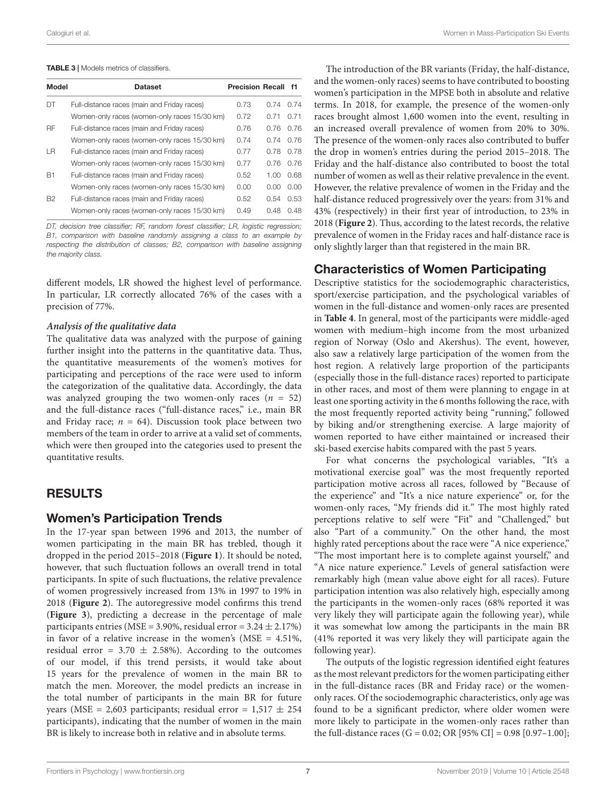#### <span id="page-6-0"></span>TABLE 3 | Models metrics of classifiers.

| Model          | <b>Dataset</b>                               | <b>Precision Recall</b> |      | - f1 |
|----------------|----------------------------------------------|-------------------------|------|------|
| DT             | Full-distance races (main and Friday races)  | 0.73                    | 0.74 | N 74 |
|                | Women-only races (women-only races 15/30 km) | 0.72                    | 0.71 | 0.71 |
| RF             | Full-distance races (main and Friday races)  | 0.76                    | 0.76 | 0.76 |
|                | Women-only races (women-only races 15/30 km) | 0.74                    | 0.74 | 0.76 |
| ΙR             | Full-distance races (main and Friday races)  | 0.77                    | 0.78 | 0.78 |
|                | Women-only races (women-only races 15/30 km) | 0.77                    | 0.76 | 0.76 |
| <b>B1</b>      | Full-distance races (main and Friday races)  | 0.52                    | 1.00 | 0.68 |
|                | Women-only races (women-only races 15/30 km) | 0.00                    | 0.00 | 0.00 |
| B <sub>2</sub> | Full-distance races (main and Friday races)  | 0.52                    | 0.54 | 0.53 |
|                | Women-only races (women-only races 15/30 km) | 0.49                    | 0.48 | O 48 |

DT, decision tree classifier; RF, random forest classifier; LR, logistic regression; B1, comparison with baseline randomly assigning a class to an example by respecting the distribution of classes; B2, comparison with baseline assigning the majority class.

different models, LR showed the highest level of performance. In particular, LR correctly allocated 76% of the cases with a precision of 77%.

#### **Analysis of the qualitative data**

The qualitative data was analyzed with the purpose of gaining further insight into the patterns in the quantitative data. Thus, the quantitative measurements of the women's motives for participating and perceptions of the race were used to inform the categorization of the qualitative data. Accordingly, the data was analyzed grouping the two women-only races  $(n = 52)$ and the full-distance races ("full-distance races," i.e., main BR and Friday race;  $n = 64$ ). Discussion took place between two members of the team in order to arrive at a valid set of comments, which were then grouped into the categories used to present the quantitative results.

## RESULTS

### Women's Participation Trends

In the 17-year span between 1996 and 2013, the number of women participating in the main BR has trebled, though it dropped in the period 2015–2018 (**[Figure 1](#page-7-0)**). It should be noted, however, that such fluctuation follows an overall trend in total participants. In spite of such fluctuations, the relative prevalence of women progressively increased from 13% in 1997 to 19% in 2018 (**[Figure 2](#page-7-1)**). The autoregressive model confirms this trend (**[Figure 3](#page-8-0)**), predicting a decrease in the percentage of male participants entries (MSE =  $3.90\%$ , residual error =  $3.24 \pm 2.17\%$ ) in favor of a relative increase in the women's (MSE = 4.51%, residual error =  $3.70 \pm 2.58$ %). According to the outcomes of our model, if this trend persists, it would take about 15 years for the prevalence of women in the main BR to match the men. Moreover, the model predicts an increase in the total number of participants in the main BR for future years (MSE = 2,603 participants; residual error =  $1,517 \pm 254$ participants), indicating that the number of women in the main BR is likely to increase both in relative and in absolute terms.

The introduction of the BR variants (Friday, the half-distance, and the women-only races) seems to have contributed to boosting women's participation in the MPSE both in absolute and relative terms. In 2018, for example, the presence of the women-only races brought almost 1,600 women into the event, resulting in an increased overall prevalence of women from 20% to 30%. The presence of the women-only races also contributed to buffer the drop in women's entries during the period 2015–2018. The Friday and the half-distance also contributed to boost the total number of women as well as their relative prevalence in the event. However, the relative prevalence of women in the Friday and the half-distance reduced progressively over the years: from 31% and 43% (respectively) in their first year of introduction, to 23% in 2018 (**[Figure 2](#page-7-1)**). Thus, according to the latest records, the relative prevalence of women in the Friday races and half-distance race is only slightly larger than that registered in the main BR.

### Characteristics of Women Participating

Descriptive statistics for the sociodemographic characteristics, sport/exercise participation, and the psychological variables of women in the full-distance and women-only races are presented in **[Table 4](#page-9-0)**. In general, most of the participants were middle-aged women with medium–high income from the most urbanized region of Norway (Oslo and Akershus). The event, however, also saw a relatively large participation of the women from the host region. A relatively large proportion of the participants (especially those in the full-distance races) reported to participate in other races, and most of them were planning to engage in at least one sporting activity in the 6 months following the race, with the most frequently reported activity being "running," followed by biking and/or strengthening exercise. A large majority of women reported to have either maintained or increased their ski-based exercise habits compared with the past 5 years.

For what concerns the psychological variables, "It's a motivational exercise goal" was the most frequently reported participation motive across all races, followed by "Because of the experience" and "It's a nice nature experience" or, for the women-only races, "My friends did it." The most highly rated perceptions relative to self were "Fit" and "Challenged," but also "Part of a community." On the other hand, the most highly rated perceptions about the race were "A nice experience," "The most important here is to complete against yourself," and "A nice nature experience." Levels of general satisfaction were remarkably high (mean value above eight for all races). Future participation intention was also relatively high, especially among the participants in the women-only races (68% reported it was very likely they will participate again the following year), while it was somewhat low among the participants in the main BR (41% reported it was very likely they will participate again the following year).

The outputs of the logistic regression identified eight features as the most relevant predictors for the women participating either in the full-distance races (BR and Friday race) or the womenonly races. Of the sociodemographic characteristics, only age was found to be a significant predictor, where older women were more likely to participate in the women-only races rather than the full-distance races (G = 0.02; OR [95% CI] = 0.98 [0.97-1.00];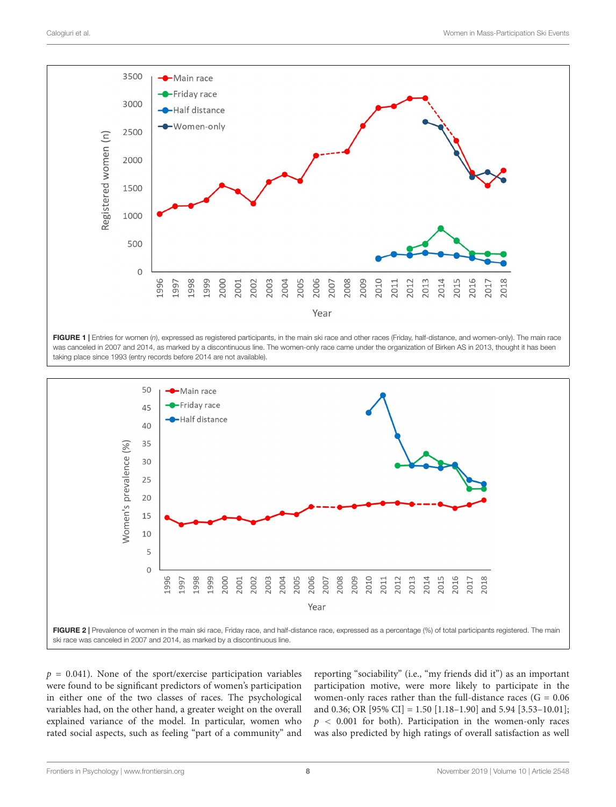

<span id="page-7-0"></span>FIGURE 1 | Entries for women (n), expressed as registered participants, in the main ski race and other races (Friday, half-distance, and women-only). The main race was canceled in 2007 and 2014, as marked by a discontinuous line. The women-only race came under the organization of Birken AS in 2013, thought it has been taking place since 1993 (entry records before 2014 are not available).



<span id="page-7-1"></span> $p = 0.041$ ). None of the sport/exercise participation variables were found to be significant predictors of women's participation in either one of the two classes of races. The psychological variables had, on the other hand, a greater weight on the overall explained variance of the model. In particular, women who rated social aspects, such as feeling "part of a community" and reporting "sociability" (i.e., "my friends did it") as an important participation motive, were more likely to participate in the women-only races rather than the full-distance races  $(G = 0.06)$ and 0.36; OR [95% CI] = 1.50 [1.18–1.90] and 5.94 [3.53–10.01];  $p < 0.001$  for both). Participation in the women-only races was also predicted by high ratings of overall satisfaction as well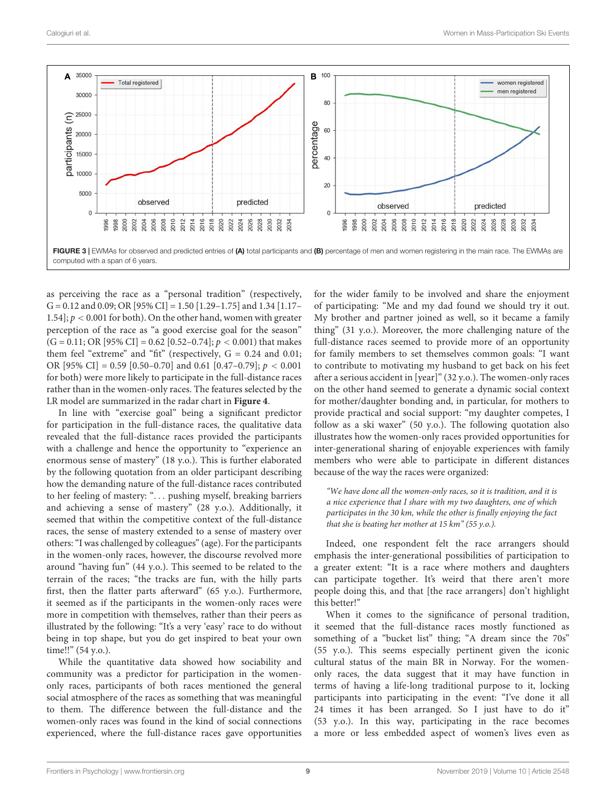

<span id="page-8-0"></span>as perceiving the race as a "personal tradition" (respectively,  $G = 0.12$  and 0.09; OR [95% CI] = 1.50 [1.29–1.75] and 1.34 [1.17– 1.54];  $p < 0.001$  for both). On the other hand, women with greater perception of the race as "a good exercise goal for the season"  $(G = 0.11; OR [95\% CI] = 0.62 [0.52-0.74]; p < 0.001)$  that makes them feel "extreme" and "fit" (respectively,  $G = 0.24$  and 0.01; OR [95% CI] = 0.59 [0.50–0.70] and 0.61 [0.47–0.79];  $p < 0.001$ for both) were more likely to participate in the full-distance races rather than in the women-only races. The features selected by the LR model are summarized in the radar chart in **[Figure 4](#page-10-0)**.

In line with "exercise goal" being a significant predictor for participation in the full-distance races, the qualitative data revealed that the full-distance races provided the participants with a challenge and hence the opportunity to "experience an enormous sense of mastery" (18 y.o.). This is further elaborated by the following quotation from an older participant describing how the demanding nature of the full-distance races contributed to her feeling of mastery: ". . . pushing myself, breaking barriers and achieving a sense of mastery" (28 y.o.). Additionally, it seemed that within the competitive context of the full-distance races, the sense of mastery extended to a sense of mastery over others: "I was challenged by colleagues" (age). For the participants in the women-only races, however, the discourse revolved more around "having fun" (44 y.o.). This seemed to be related to the terrain of the races; "the tracks are fun, with the hilly parts first, then the flatter parts afterward" (65 y.o.). Furthermore, it seemed as if the participants in the women-only races were more in competition with themselves, rather than their peers as illustrated by the following: "It's a very 'easy' race to do without being in top shape, but you do get inspired to beat your own time!!" (54 y.o.).

While the quantitative data showed how sociability and community was a predictor for participation in the womenonly races, participants of both races mentioned the general social atmosphere of the races as something that was meaningful to them. The difference between the full-distance and the women-only races was found in the kind of social connections experienced, where the full-distance races gave opportunities

for the wider family to be involved and share the enjoyment of participating: "Me and my dad found we should try it out. My brother and partner joined as well, so it became a family thing" (31 y.o.). Moreover, the more challenging nature of the full-distance races seemed to provide more of an opportunity for family members to set themselves common goals: "I want to contribute to motivating my husband to get back on his feet after a serious accident in [year]" (32 y.o.). The women-only races on the other hand seemed to generate a dynamic social context for mother/daughter bonding and, in particular, for mothers to provide practical and social support: "my daughter competes, I follow as a ski waxer" (50 y.o.). The following quotation also illustrates how the women-only races provided opportunities for inter-generational sharing of enjoyable experiences with family members who were able to participate in different distances because of the way the races were organized:

"We have done all the women-only races, so it is tradition, and it is a nice experience that I share with my two daughters, one of which participates in the 30 km, while the other is finally enjoying the fact that she is beating her mother at  $15 \, km^2$  (55 y.o.).

Indeed, one respondent felt the race arrangers should emphasis the inter-generational possibilities of participation to a greater extent: "It is a race where mothers and daughters can participate together. It's weird that there aren't more people doing this, and that [the race arrangers] don't highlight this better!"

When it comes to the significance of personal tradition, it seemed that the full-distance races mostly functioned as something of a "bucket list" thing; "A dream since the 70s" (55 y.o.). This seems especially pertinent given the iconic cultural status of the main BR in Norway. For the womenonly races, the data suggest that it may have function in terms of having a life-long traditional purpose to it, locking participants into participating in the event: "I've done it all 24 times it has been arranged. So I just have to do it" (53 y.o.). In this way, participating in the race becomes a more or less embedded aspect of women's lives even as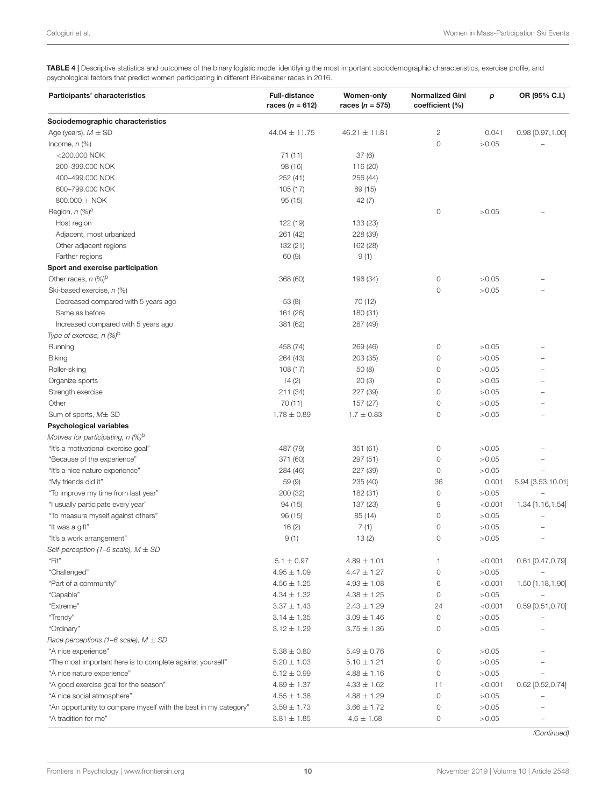<span id="page-9-0"></span>TABLE 4 | Descriptive statistics and outcomes of the binary logistic model identifying the most important sociodemographic characteristics, exercise profile, and psychological factors that predict women participating in different Birkebeiner races in 2016.

| Participants' characteristics                                   | <b>Full-distance</b><br>races ( <i>n</i> = 612) | <b>Women-only</b><br>races ( <i>n</i> = 575) | <b>Normalized Gini</b><br>coefficient (%) | p       | OR (95% C.I.)      |
|-----------------------------------------------------------------|-------------------------------------------------|----------------------------------------------|-------------------------------------------|---------|--------------------|
| Sociodemographic characteristics                                |                                                 |                                              |                                           |         |                    |
| Age (years), $M \pm SD$                                         | $44.04 \pm 11.75$                               | $46.21 \pm 11.81$                            | 2                                         | 0.041   | $0.98$ [0.97,1.00] |
| Income, $n$ $(\%)$                                              |                                                 |                                              | $\mathbf 0$                               | >0.05   |                    |
| $<$ 200.000 NOK                                                 | 71 (11)                                         | 37(6)                                        |                                           |         |                    |
| 200-399.000 NOK                                                 | 98 (16)                                         | 116 (20)                                     |                                           |         |                    |
| 400-499.000 NOK                                                 | 252(41)                                         | 256 (44)                                     |                                           |         |                    |
| 600-799.000 NOK                                                 | 105 (17)                                        | 89 (15)                                      |                                           |         |                    |
| $800.000 + NOK$                                                 | 95(15)                                          | 42(7)                                        |                                           |         |                    |
| Region, $n$ (%) <sup>a</sup>                                    |                                                 |                                              | $\circ$                                   | >0.05   |                    |
| Host region                                                     | 122 (19)                                        | 133 (23)                                     |                                           |         |                    |
| Adjacent, most urbanized                                        | 261 (42)                                        | 228 (39)                                     |                                           |         |                    |
| Other adjacent regions                                          | 132 (21)                                        | 162 (28)                                     |                                           |         |                    |
| Farther regions                                                 | 60(9)                                           | 9(1)                                         |                                           |         |                    |
| Sport and exercise participation                                |                                                 |                                              |                                           |         |                    |
| Other races, $n$ (%) <sup>b</sup>                               | 368 (60)                                        | 196 (34)                                     | $\circ$                                   | >0.05   |                    |
| Ski-based exercise, n (%)                                       |                                                 |                                              | $\circ$                                   | >0.05   |                    |
| Decreased compared with 5 years ago                             | 53 (8)                                          | 70 (12)                                      |                                           |         |                    |
| Same as before                                                  | 161 (26)                                        | 180 (31)                                     |                                           |         |                    |
| Increased compared with 5 years ago                             | 381 (62)                                        | 287 (49)                                     |                                           |         |                    |
| Type of exercise, $n$ (%) <sup>b</sup>                          |                                                 |                                              |                                           |         |                    |
| Running                                                         | 458 (74)                                        | 269 (46)                                     | 0                                         | >0.05   |                    |
| Biking                                                          | 264 (43)                                        | 203 (35)                                     | $\circ$                                   | >0.05   |                    |
| Roller-skiing                                                   | 108 (17)                                        | 50(8)                                        | 0                                         | >0.05   |                    |
| Organize sports                                                 | 14(2)                                           | 20(3)                                        | 0                                         | >0.05   |                    |
| Strength exercise                                               | 211 (34)                                        | 227 (39)                                     | 0                                         | >0.05   |                    |
| Other                                                           | 70 (11)                                         | 157 (27)                                     | 0                                         | >0.05   |                    |
| Sum of sports, $M\pm SD$                                        | $1.78 \pm 0.89$                                 | $1.7 \pm 0.83$                               | $\circ$                                   | >0.05   |                    |
| <b>Psychological variables</b>                                  |                                                 |                                              |                                           |         |                    |
| Motives for participating, n (%) <sup>b</sup>                   |                                                 |                                              |                                           |         |                    |
| "It's a motivational exercise goal"                             | 487 (79)                                        | 351 (61)                                     | 0                                         | >0.05   |                    |
| "Because of the experience"                                     | 371 (60)                                        | 297 (51)                                     | $\circ$                                   | >0.05   |                    |
| "It's a nice nature experience"                                 | 284 (46)                                        | 227 (39)                                     | 0                                         | >0.05   |                    |
| "My friends did it"                                             | 59 (9)                                          | 235 (40)                                     | 36                                        | 0.001   | 5.94 [3.53,10.01]  |
| "To improve my time from last year"                             | 200 (32)                                        | 182 (31)                                     | $\mathbb O$                               | >0.05   |                    |
| "I usually participate every year"                              | 94 (15)                                         | 137 (23)                                     | 9                                         | < 0.001 | 1.34 [1.16,1.54]   |
| "To measure myself against others"                              | 96(15)                                          | 85 (14)                                      | 0                                         | >0.05   |                    |
| "It was a gift"                                                 | 16(2)                                           | 7(1)                                         | 0                                         | >0.05   |                    |
| "It's a work arrangement"                                       | 9(1)                                            | 13(2)                                        | $\circ$                                   | >0.05   |                    |
| Self-perception (1-6 scale), $M \pm SD$                         |                                                 |                                              |                                           |         |                    |
| "Fit"                                                           | $5.1 \pm 0.97$                                  | $4.89 \pm 1.01$                              | 1                                         | < 0.001 | $0.61$ [0.47,0.79] |
| "Challenged"                                                    | $4.95 \pm 1.09$                                 | $4.47 \pm 1.27$                              | $\circ$                                   | >0.05   |                    |
| "Part of a community"                                           | $4.56 \pm 1.25$                                 | $4.93 \pm 1.08$                              | 6                                         | < 0.001 | 1.50 [1.18,1.90]   |
| "Capable"                                                       | $4.34 \pm 1.32$                                 | $4.38 \pm 1.25$                              | $\mathsf{O}\xspace$                       | >0.05   |                    |
| "Extreme"                                                       | $3.37 \pm 1.43$                                 | $2.43 \pm 1.29$                              | 24                                        | < 0.001 | $0.59$ [0.51,0.70] |
| "Trendy"                                                        | $3.14 \pm 1.35$                                 | $3.09 \pm 1.46$                              | $\mathsf{O}\xspace$                       | >0.05   |                    |
| "Ordinary"                                                      | $3.12 \pm 1.29$                                 | $3.75 \pm 1.36$                              | 0                                         | >0.05   |                    |
| Race perceptions (1–6 scale), $M \pm SD$                        |                                                 |                                              |                                           |         |                    |
| "A nice experience"                                             | $5.38 \pm 0.80$                                 | $5.49 \pm 0.76$                              | 0                                         | >0.05   |                    |
| "The most important here is to complete against yourself"       | $5.20 \pm 1.03$                                 | $5.10 \pm 1.21$                              | $\mathbb O$                               | >0.05   |                    |
| "A nice nature experience"                                      | $5.12 \pm 0.99$                                 | $4.88 \pm 1.16$                              | $\mathsf{O}\xspace$                       | >0.05   |                    |
| "A good exercise goal for the season"                           | $4.89 \pm 1.37$                                 | $4.33 \pm 1.62$                              | 11                                        | < 0.001 | $0.62$ [0.52,0.74] |
| "A nice social atmosphere"                                      | $4.55 \pm 1.38$                                 | $4.88 \pm 1.29$                              | $\mathsf{O}\xspace$                       | >0.05   |                    |
| "An opportunity to compare myself with the best in my category" | $3.59 \pm 1.73$                                 | $3.66 \pm 1.72$                              | 0                                         | >0.05   |                    |
| "A tradition for me"                                            | $3.81 \pm 1.85$                                 | $4.6 \pm 1.68$                               | 0                                         | >0.05   |                    |

(Continued)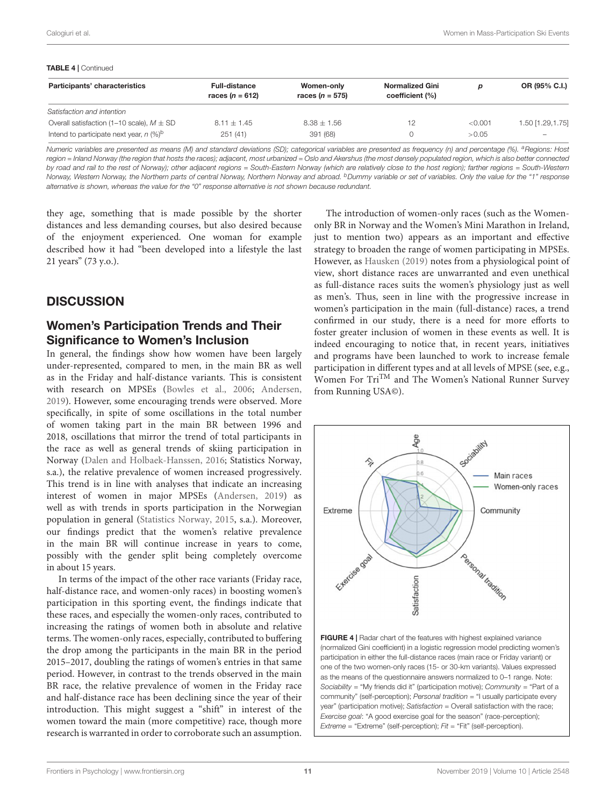#### TABLE 4 | Continued Participants' characteristics Full-distance races  $(n = 612)$ Women-only races  $(n = 575)$ Normalized Gini coefficient (%) p OR (95% C.I.) Satisfaction and intention Overall satisfaction (1-10 scale),  $M \pm SD$  8.11  $\pm 1.45$  8.38  $\pm 1.56$  12 6.001 1.29,1.75 Intend to participate next year,  $n$  (%)<sup>b</sup> 251 (41) 391 (68) 0 0  $>0.05$

Numeric variables are presented as means (M) and standard deviations (SD); categorical variables are presented as frequency (n) and percentage (%). <sup>a</sup>Regions: Host region = Inland Norway (the region that hosts the races); adjacent, most urbanized = Oslo and Akershus (the most densely populated region, which is also better connected by road and rail to the rest of Norway); other adjacent regions = South-Eastern Norway (which are relatively close to the host region); farther regions = South-Western Norway, Western Norway, the Northern parts of central Norway, Northern Norway and abroad. <sup>b</sup>Dummy variable or set of variables. Only the value for the "1" response alternative is shown, whereas the value for the "0" response alternative is not shown because redundant.

they age, something that is made possible by the shorter distances and less demanding courses, but also desired because of the enjoyment experienced. One woman for example described how it had "been developed into a lifestyle the last 21 years" (73 y.o.).

# **DISCUSSION**

## Women's Participation Trends and Their Significance to Women's Inclusion

In general, the findings show how women have been largely under-represented, compared to men, in the main BR as well as in the Friday and half-distance variants. This is consistent with research on MPSEs [\(Bowles et al.,](#page-13-1) [2006;](#page-13-1) [Andersen,](#page-13-6) [2019\)](#page-13-6). However, some encouraging trends were observed. More specifically, in spite of some oscillations in the total number of women taking part in the main BR between 1996 and 2018, oscillations that mirror the trend of total participants in the race as well as general trends of skiing participation in Norway [\(Dalen and Holbaek-Hanssen,](#page-13-10) [2016;](#page-13-10) Statistics Norway, s.a.), the relative prevalence of women increased progressively. This trend is in line with analyses that indicate an increasing interest of women in major MPSEs [\(Andersen,](#page-13-6) [2019\)](#page-13-6) as well as with trends in sports participation in the Norwegian population in general [\(Statistics Norway,](#page-14-24) [2015,](#page-14-24) s.a.). Moreover, our findings predict that the women's relative prevalence in the main BR will continue increase in years to come, possibly with the gender split being completely overcome in about 15 years.

In terms of the impact of the other race variants (Friday race, half-distance race, and women-only races) in boosting women's participation in this sporting event, the findings indicate that these races, and especially the women-only races, contributed to increasing the ratings of women both in absolute and relative terms. The women-only races, especially, contributed to buffering the drop among the participants in the main BR in the period 2015–2017, doubling the ratings of women's entries in that same period. However, in contrast to the trends observed in the main BR race, the relative prevalence of women in the Friday race and half-distance race has been declining since the year of their introduction. This might suggest a "shift" in interest of the women toward the main (more competitive) race, though more research is warranted in order to corroborate such an assumption.

The introduction of women-only races (such as the Womenonly BR in Norway and the Women's Mini Marathon in Ireland, just to mention two) appears as an important and effective strategy to broaden the range of women participating in MPSEs. However, as [Hausken](#page-14-7) [\(2019\)](#page-14-7) notes from a physiological point of view, short distance races are unwarranted and even unethical as full-distance races suits the women's physiology just as well as men's. Thus, seen in line with the progressive increase in women's participation in the main (full-distance) races, a trend confirmed in our study, there is a need for more efforts to foster greater inclusion of women in these events as well. It is indeed encouraging to notice that, in recent years, initiatives and programs have been launched to work to increase female participation in different types and at all levels of MPSE (see, e.g., Women For TriTM and The Women's National Runner Survey from Running USA©).



<span id="page-10-0"></span>FIGURE 4 | Radar chart of the features with highest explained variance (normalized Gini coefficient) in a logistic regression model predicting women's participation in either the full-distance races (main race or Friday variant) or one of the two women-only races (15- or 30-km variants). Values expressed as the means of the questionnaire answers normalized to 0–1 range. Note: Sociability = "My friends did it" (participation motive); Community = "Part of a community" (self-perception); Personal tradition = "I usually participate every year" (participation motive); Satisfaction = Overall satisfaction with the race; Exercise goal: "A good exercise goal for the season" (race-perception);  $Extreme = "Extreme"$  (self-perception);  $Fit = "Fit"$  (self-perception).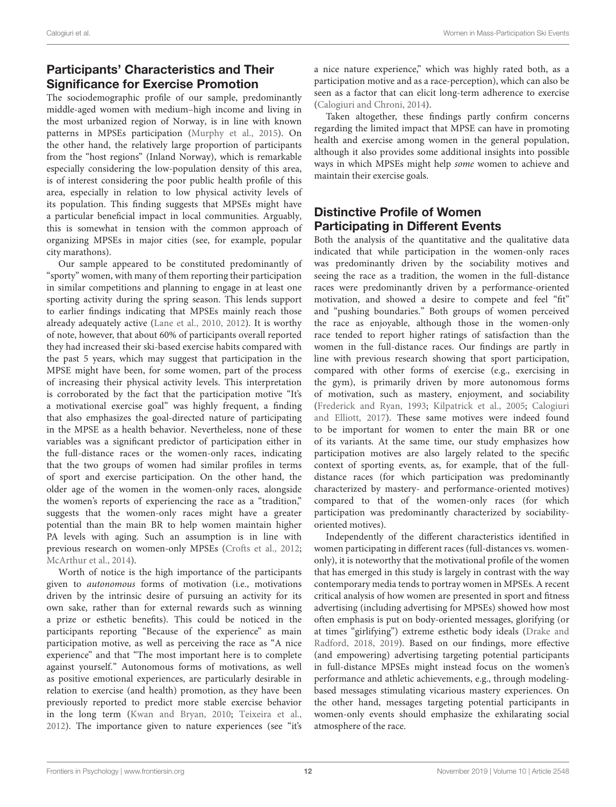# Participants' Characteristics and Their Significance for Exercise Promotion

The sociodemographic profile of our sample, predominantly middle-aged women with medium–high income and living in the most urbanized region of Norway, is in line with known patterns in MPSEs participation [\(Murphy et al.,](#page-14-2) [2015\)](#page-14-2). On the other hand, the relatively large proportion of participants from the "host regions" (Inland Norway), which is remarkable especially considering the low-population density of this area, is of interest considering the poor public health profile of this area, especially in relation to low physical activity levels of its population. This finding suggests that MPSEs might have a particular beneficial impact in local communities. Arguably, this is somewhat in tension with the common approach of organizing MPSEs in major cities (see, for example, popular city marathons).

Our sample appeared to be constituted predominantly of "sporty" women, with many of them reporting their participation in similar competitions and planning to engage in at least one sporting activity during the spring season. This lends support to earlier findings indicating that MPSEs mainly reach those already adequately active [\(Lane et al.,](#page-14-25) [2010,](#page-14-25) [2012\)](#page-14-26). It is worthy of note, however, that about 60% of participants overall reported they had increased their ski-based exercise habits compared with the past 5 years, which may suggest that participation in the MPSE might have been, for some women, part of the process of increasing their physical activity levels. This interpretation is corroborated by the fact that the participation motive "It's a motivational exercise goal" was highly frequent, a finding that also emphasizes the goal-directed nature of participating in the MPSE as a health behavior. Nevertheless, none of these variables was a significant predictor of participation either in the full-distance races or the women-only races, indicating that the two groups of women had similar profiles in terms of sport and exercise participation. On the other hand, the older age of the women in the women-only races, alongside the women's reports of experiencing the race as a "tradition," suggests that the women-only races might have a greater potential than the main BR to help women maintain higher PA levels with aging. Such an assumption is in line with previous research on women-only MPSEs [\(Crofts et al.,](#page-13-7) [2012;](#page-13-7) [McArthur et al.,](#page-14-4) [2014\)](#page-14-4).

Worth of notice is the high importance of the participants given to autonomous forms of motivation (i.e., motivations driven by the intrinsic desire of pursuing an activity for its own sake, rather than for external rewards such as winning a prize or esthetic benefits). This could be noticed in the participants reporting "Because of the experience" as main participation motive, as well as perceiving the race as "A nice experience" and that "The most important here is to complete against yourself." Autonomous forms of motivations, as well as positive emotional experiences, are particularly desirable in relation to exercise (and health) promotion, as they have been previously reported to predict more stable exercise behavior in the long term [\(Kwan and Bryan,](#page-14-27) [2010;](#page-14-27) [Teixeira et al.,](#page-14-28) [2012\)](#page-14-28). The importance given to nature experiences (see "it's

a nice nature experience," which was highly rated both, as a participation motive and as a race-perception), which can also be seen as a factor that can elicit long-term adherence to exercise [\(Calogiuri and Chroni,](#page-13-11) [2014\)](#page-13-11).

Taken altogether, these findings partly confirm concerns regarding the limited impact that MPSE can have in promoting health and exercise among women in the general population, although it also provides some additional insights into possible ways in which MPSEs might help some women to achieve and maintain their exercise goals.

# Distinctive Profile of Women Participating in Different Events

Both the analysis of the quantitative and the qualitative data indicated that while participation in the women-only races was predominantly driven by the sociability motives and seeing the race as a tradition, the women in the full-distance races were predominantly driven by a performance-oriented motivation, and showed a desire to compete and feel "fit" and "pushing boundaries." Both groups of women perceived the race as enjoyable, although those in the women-only race tended to report higher ratings of satisfaction than the women in the full-distance races. Our findings are partly in line with previous research showing that sport participation, compared with other forms of exercise (e.g., exercising in the gym), is primarily driven by more autonomous forms of motivation, such as mastery, enjoyment, and sociability [\(Frederick and Ryan,](#page-14-9) [1993;](#page-14-9) [Kilpatrick et al.,](#page-14-10) [2005;](#page-14-10) [Calogiuri](#page-13-4) [and Elliott,](#page-13-4) [2017\)](#page-13-4). These same motives were indeed found to be important for women to enter the main BR or one of its variants. At the same time, our study emphasizes how participation motives are also largely related to the specific context of sporting events, as, for example, that of the fulldistance races (for which participation was predominantly characterized by mastery- and performance-oriented motives) compared to that of the women-only races (for which participation was predominantly characterized by sociabilityoriented motives).

Independently of the different characteristics identified in women participating in different races (full-distances vs. womenonly), it is noteworthy that the motivational profile of the women that has emerged in this study is largely in contrast with the way contemporary media tends to portray women in MPSEs. A recent critical analysis of how women are presented in sport and fitness advertising (including advertising for MPSEs) showed how most often emphasis is put on body-oriented messages, glorifying (or at times "girlifying") extreme esthetic body ideals [\(Drake and](#page-13-12) [Radford,](#page-13-12) [2018,](#page-13-12) [2019\)](#page-14-29). Based on our findings, more effective (and empowering) advertising targeting potential participants in full-distance MPSEs might instead focus on the women's performance and athletic achievements, e.g., through modelingbased messages stimulating vicarious mastery experiences. On the other hand, messages targeting potential participants in women-only events should emphasize the exhilarating social atmosphere of the race.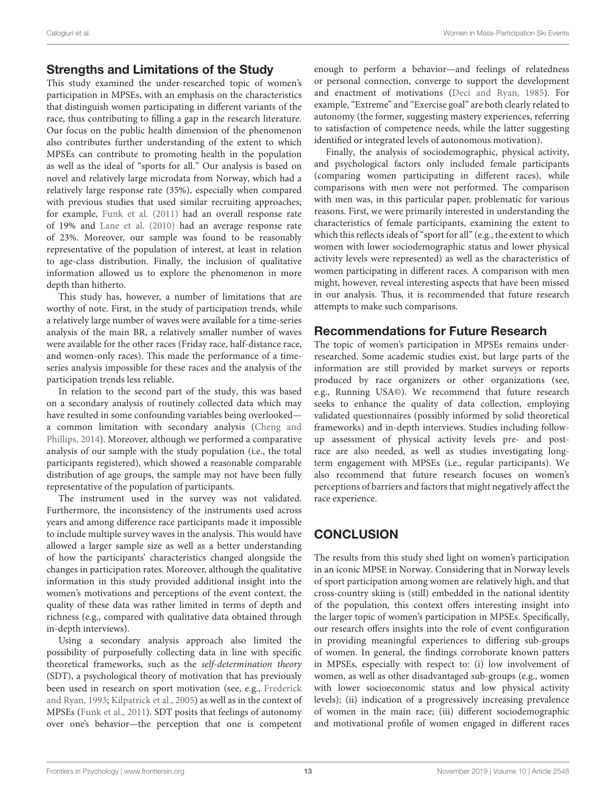### Strengths and Limitations of the Study

This study examined the under-researched topic of women's participation in MPSEs, with an emphasis on the characteristics that distinguish women participating in different variants of the race, thus contributing to filling a gap in the research literature. Our focus on the public health dimension of the phenomenon also contributes further understanding of the extent to which MPSEs can contribute to promoting health in the population as well as the ideal of "sports for all." Our analysis is based on novel and relatively large microdata from Norway, which had a relatively large response rate (35%), especially when compared with previous studies that used similar recruiting approaches; for example, [Funk et al.](#page-14-3) [\(2011\)](#page-14-3) had an overall response rate of 19% and [Lane et al.](#page-14-25) [\(2010\)](#page-14-25) had an average response rate of 23%. Moreover, our sample was found to be reasonably representative of the population of interest, at least in relation to age-class distribution. Finally, the inclusion of qualitative information allowed us to explore the phenomenon in more depth than hitherto.

This study has, however, a number of limitations that are worthy of note. First, in the study of participation trends, while a relatively large number of waves were available for a time-series analysis of the main BR, a relatively smaller number of waves were available for the other races (Friday race, half-distance race, and women-only races). This made the performance of a timeseries analysis impossible for these races and the analysis of the participation trends less reliable.

In relation to the second part of the study, this was based on a secondary analysis of routinely collected data which may have resulted in some confounding variables being overlooked a common limitation with secondary analysis [\(Cheng and](#page-13-13) [Phillips,](#page-13-13) [2014\)](#page-13-13). Moreover, although we performed a comparative analysis of our sample with the study population (i.e., the total participants registered), which showed a reasonable comparable distribution of age groups, the sample may not have been fully representative of the population of participants.

The instrument used in the survey was not validated. Furthermore, the inconsistency of the instruments used across years and among difference race participants made it impossible to include multiple survey waves in the analysis. This would have allowed a larger sample size as well as a better understanding of how the participants' characteristics changed alongside the changes in participation rates. Moreover, although the qualitative information in this study provided additional insight into the women's motivations and perceptions of the event context, the quality of these data was rather limited in terms of depth and richness (e.g., compared with qualitative data obtained through in-depth interviews).

Using a secondary analysis approach also limited the possibility of purposefully collecting data in line with specific theoretical frameworks, such as the self-determination theory (SDT), a psychological theory of motivation that has previously been used in research on sport motivation (see, e.g., [Frederick](#page-14-9) [and Ryan,](#page-14-9) [1993;](#page-14-9) [Kilpatrick et al.,](#page-14-10) [2005\)](#page-14-10) as well as in the context of MPSEs [\(Funk et al.,](#page-14-3) [2011\)](#page-14-3). SDT posits that feelings of autonomy over one's behavior—the perception that one is competent

enough to perform a behavior—and feelings of relatedness or personal connection, converge to support the development and enactment of motivations [\(Deci and Ryan,](#page-13-14) [1985\)](#page-13-14). For example, "Extreme" and "Exercise goal" are both clearly related to autonomy (the former, suggesting mastery experiences, referring to satisfaction of competence needs, while the latter suggesting identified or integrated levels of autonomous motivation).

Finally, the analysis of sociodemographic, physical activity, and psychological factors only included female participants (comparing women participating in different races), while comparisons with men were not performed. The comparison with men was, in this particular paper, problematic for various reasons. First, we were primarily interested in understanding the characteristics of female participants, examining the extent to which this reflects ideals of "sport for all" (e.g., the extent to which women with lower sociodemographic status and lower physical activity levels were represented) as well as the characteristics of women participating in different races. A comparison with men might, however, reveal interesting aspects that have been missed in our analysis. Thus, it is recommended that future research attempts to make such comparisons.

### Recommendations for Future Research

The topic of women's participation in MPSEs remains underresearched. Some academic studies exist, but large parts of the information are still provided by market surveys or reports produced by race organizers or other organizations (see, e.g., Running USA©). We recommend that future research seeks to enhance the quality of data collection, employing validated questionnaires (possibly informed by solid theoretical frameworks) and in-depth interviews. Studies including followup assessment of physical activity levels pre- and postrace are also needed, as well as studies investigating longterm engagement with MPSEs (i.e., regular participants). We also recommend that future research focuses on women's perceptions of barriers and factors that might negatively affect the race experience.

# **CONCLUSION**

The results from this study shed light on women's participation in an iconic MPSE in Norway. Considering that in Norway levels of sport participation among women are relatively high, and that cross-country skiing is (still) embedded in the national identity of the population, this context offers interesting insight into the larger topic of women's participation in MPSEs. Specifically, our research offers insights into the role of event configuration in providing meaningful experiences to differing sub-groups of women. In general, the findings corroborate known patters in MPSEs, especially with respect to: (i) low involvement of women, as well as other disadvantaged sub-groups (e.g., women with lower socioeconomic status and low physical activity levels); (ii) indication of a progressively increasing prevalence of women in the main race; (iii) different sociodemographic and motivational profile of women engaged in different races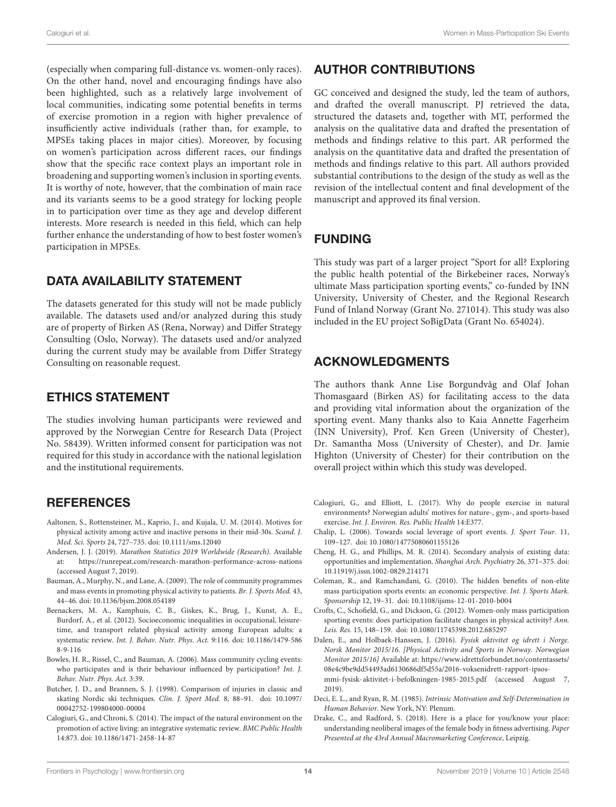(especially when comparing full-distance vs. women-only races). On the other hand, novel and encouraging findings have also been highlighted, such as a relatively large involvement of local communities, indicating some potential benefits in terms of exercise promotion in a region with higher prevalence of insufficiently active individuals (rather than, for example, to MPSEs taking places in major cities). Moreover, by focusing on women's participation across different races, our findings show that the specific race context plays an important role in broadening and supporting women's inclusion in sporting events. It is worthy of note, however, that the combination of main race and its variants seems to be a good strategy for locking people in to participation over time as they age and develop different interests. More research is needed in this field, which can help further enhance the understanding of how to best foster women's participation in MPSEs.

### DATA AVAILABILITY STATEMENT

The datasets generated for this study will not be made publicly available. The datasets used and/or analyzed during this study are of property of Birken AS (Rena, Norway) and Differ Strategy Consulting (Oslo, Norway). The datasets used and/or analyzed during the current study may be available from Differ Strategy Consulting on reasonable request.

### ETHICS STATEMENT

The studies involving human participants were reviewed and approved by the Norwegian Centre for Research Data (Project No. 58439). Written informed consent for participation was not required for this study in accordance with the national legislation and the institutional requirements.

## **REFERENCES**

- <span id="page-13-9"></span>Aaltonen, S., Rottensteiner, M., Kaprio, J., and Kujala, U. M. (2014). Motives for physical activity among active and inactive persons in their mid-30s. Scand. J. Med. Sci. Sports 24, 727–735. [doi: 10.1111/sms.12040](https://doi.org/10.1111/sms.12040)
- <span id="page-13-6"></span>Andersen, J. J. (2019). Marathon Statistics 2019 Worldwide (Research). Available at: <https://runrepeat.com/research-marathon-performance-across-nations> (accessed August 7, 2019).
- <span id="page-13-3"></span>Bauman, A., Murphy, N., and Lane, A. (2009). The role of community programmes and mass events in promoting physical activity to patients. Br. J. Sports Med. 43, 44–46. [doi: 10.1136/bjsm.2008.054189](https://doi.org/10.1136/bjsm.2008.054189)
- <span id="page-13-5"></span>Beenackers, M. A., Kamphuis, C. B., Giskes, K., Brug, J., Kunst, A. E., Burdorf, A., et al. (2012). Socioeconomic inequalities in occupational, leisuretime, and transport related physical activity among European adults: a systematic review. Int. J. Behav. Nutr. Phys. Act. 9:116. [doi: 10.1186/1479-586](https://doi.org/10.1186/1479-5868-9-116) [8-9-116](https://doi.org/10.1186/1479-5868-9-116)
- <span id="page-13-1"></span>Bowles, H. R., Rissel, C., and Bauman, A. (2006). Mass community cycling events: who participates and is their behaviour influenced by participation? Int. J. Behav. Nutr. Phys. Act. 3:39.
- <span id="page-13-8"></span>Butcher, J. D., and Brannen, S. J. (1998). Comparison of injuries in classic and skating Nordic ski techniques. Clin. J. Sport Med. 8, 88–91. [doi: 10.1097/](https://doi.org/10.1097/00042752-199804000-00004) [00042752-199804000-00004](https://doi.org/10.1097/00042752-199804000-00004)
- <span id="page-13-11"></span>Calogiuri, G., and Chroni, S. (2014). The impact of the natural environment on the promotion of active living: an integrative systematic review. BMC Public Health 14:873. [doi: 10.1186/1471-2458-14-87](https://doi.org/10.1186/1471-2458-14-87)

## AUTHOR CONTRIBUTIONS

GC conceived and designed the study, led the team of authors, and drafted the overall manuscript. PJ retrieved the data, structured the datasets and, together with MT, performed the analysis on the qualitative data and drafted the presentation of methods and findings relative to this part. AR performed the analysis on the quantitative data and drafted the presentation of methods and findings relative to this part. All authors provided substantial contributions to the design of the study as well as the revision of the intellectual content and final development of the manuscript and approved its final version.

## FUNDING

This study was part of a larger project "Sport for all? Exploring the public health potential of the Birkebeiner races, Norway's ultimate Mass participation sporting events," co-funded by INN University, University of Chester, and the Regional Research Fund of Inland Norway (Grant No. 271014). This study was also included in the EU project SoBigData (Grant No. 654024).

## ACKNOWLEDGMENTS

The authors thank Anne Lise Borgundvåg and Olaf Johan Thomasgaard (Birken AS) for facilitating access to the data and providing vital information about the organization of the sporting event. Many thanks also to Kaia Annette Fagerheim (INN University), Prof. Ken Green (University of Chester), Dr. Samantha Moss (University of Chester), and Dr. Jamie Highton (University of Chester) for their contribution on the overall project within which this study was developed.

- <span id="page-13-4"></span>Calogiuri, G., and Elliott, L. (2017). Why do people exercise in natural environments? Norwegian adults' motives for nature-, gym-, and sports-based exercise. Int. J. Environ. Res. Public Health 14:E377.
- <span id="page-13-2"></span>Chalip, L. (2006). Towards social leverage of sport events. J. Sport Tour. 11, 109–127. [doi: 10.1080/14775080601155126](https://doi.org/10.1080/14775080601155126)
- <span id="page-13-13"></span>Cheng, H. G., and Phillips, M. R. (2014). Secondary analysis of existing data: opportunities and implementation. Shanghai Arch. Psychiatry 26, 371–375. [doi:](https://doi.org/10.11919/j.issn.1002-0829.214171) [10.11919/j.issn.1002-0829.214171](https://doi.org/10.11919/j.issn.1002-0829.214171)
- <span id="page-13-0"></span>Coleman, R., and Ramchandani, G. (2010). The hidden benefits of non-elite mass participation sports events: an economic perspective. Int. J. Sports Mark. Sponsorship 12, 19–31. [doi: 10.1108/ijsms-12-01-2010-b004](https://doi.org/10.1108/ijsms-12-01-2010-b004)
- <span id="page-13-7"></span>Crofts, C., Schofield, G., and Dickson, G. (2012). Women-only mass participation sporting events: does participation facilitate changes in physical activity? Ann. Leis. Res. 15, 148–159. [doi: 10.1080/11745398.2012.685297](https://doi.org/10.1080/11745398.2012.685297)
- <span id="page-13-10"></span>Dalen, E., and Holbaek-Hanssen, J. (2016). Fysisk aktivitet og idrett i Norge. Norsk Monitor 2015/16. [Physical Activity and Sports in Norway. Norwegian Monitor 2015/16] Available at: [https://www.idrettsforbundet.no/contentassets/](https://www.idrettsforbundet.no/contentassets/08e4c9be9dd54493ad6130686df5d55a/2016-voksenidrett-rapport-ipsos-mmi-fysisk-aktivitet-i-befolkningen-1985-2015.pdf) [08e4c9be9dd54493ad6130686df5d55a/2016-voksenidrett-rapport-ipsos](https://www.idrettsforbundet.no/contentassets/08e4c9be9dd54493ad6130686df5d55a/2016-voksenidrett-rapport-ipsos-mmi-fysisk-aktivitet-i-befolkningen-1985-2015.pdf)[mmi-fysisk-aktivitet-i-befolkningen-1985-2015.pdf](https://www.idrettsforbundet.no/contentassets/08e4c9be9dd54493ad6130686df5d55a/2016-voksenidrett-rapport-ipsos-mmi-fysisk-aktivitet-i-befolkningen-1985-2015.pdf) (accessed August 7, 2019).
- <span id="page-13-14"></span>Deci, E. L., and Ryan, R. M. (1985). Intrinsic Motivation and Self-Determination in Human Behavior. New York, NY: Plenum.
- <span id="page-13-12"></span>Drake, C., and Radford, S. (2018). Here is a place for you/know your place: understanding neoliberal images of the female body in fitness advertising. Paper Presented at the 43rd Annual Macromarketing Conference, Leipzig.